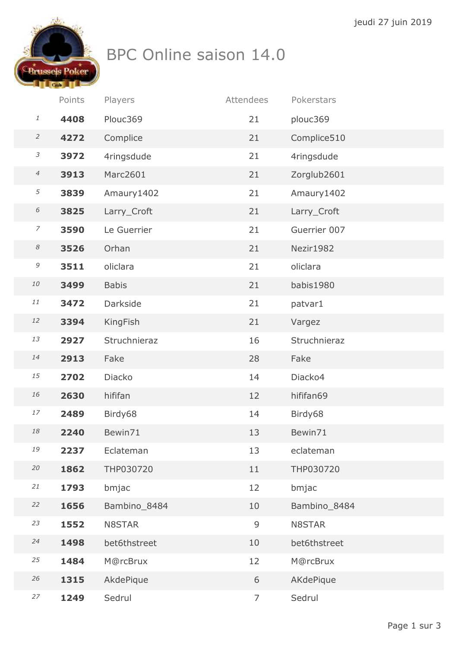

## BPC Online saison 14.0

|                            | Points | Players         | Attendees      | Pokerstars   |
|----------------------------|--------|-----------------|----------------|--------------|
| 1                          | 4408   | Plouc369        | 21             | plouc369     |
| $\overline{2}$             | 4272   | Complice        | 21             | Complice510  |
| $\mathfrak{Z}$             | 3972   | 4ringsdude      | 21             | 4ringsdude   |
| $\overline{4}$             | 3913   | Marc2601        | 21             | Zorglub2601  |
| 5                          | 3839   | Amaury1402      | 21             | Amaury1402   |
| 6                          | 3825   | Larry_Croft     | 21             | Larry_Croft  |
| $\overline{7}$             | 3590   | Le Guerrier     | 21             | Guerrier 007 |
| $\boldsymbol{\mathcal{S}}$ | 3526   | Orhan           | 21             | Nezir1982    |
| $\mathcal G$               | 3511   | oliclara        | 21             | oliclara     |
| ${\it 10}$                 | 3499   | <b>Babis</b>    | 21             | babis1980    |
| 11                         | 3472   | <b>Darkside</b> | 21             | patvar1      |
| $12\,$                     | 3394   | KingFish        | 21             | Vargez       |
| 13                         | 2927   | Struchnieraz    | 16             | Struchnieraz |
| $14$                       | 2913   | Fake            | 28             | Fake         |
| 15                         | 2702   | Diacko          | 14             | Diacko4      |
| 16                         | 2630   | hififan         | 12             | hififan69    |
| 17                         | 2489   | Birdy68         | 14             | Birdy68      |
| 18                         | 2240   | Bewin71         | 13             | Bewin71      |
| 19                         | 2237   | Eclateman       | 13             | eclateman    |
| $20\,$                     | 1862   | THP030720       | 11             | THP030720    |
| $21\,$                     | 1793   | bmjac           | 12             | bmjac        |
| 22                         | 1656   | Bambino_8484    | 10             | Bambino_8484 |
| 23                         | 1552   | N8STAR          | 9              | N8STAR       |
| 24                         | 1498   | bet6thstreet    | 10             | bet6thstreet |
| 25                         | 1484   | M@rcBrux        | 12             | M@rcBrux     |
| 26                         | 1315   | AkdePique       | 6              | AKdePique    |
| 27                         | 1249   | Sedrul          | $\overline{7}$ | Sedrul       |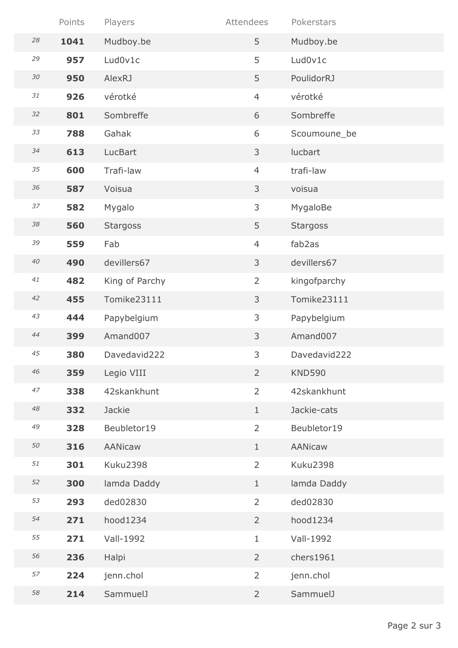|             | Points | Players         | Attendees      | Pokerstars      |
|-------------|--------|-----------------|----------------|-----------------|
| 28          | 1041   | Mudboy.be       | 5              | Mudboy.be       |
| 29          | 957    | Lud0v1c         | 5              | Lud0v1c         |
| $30\,$      | 950    | <b>AlexRJ</b>   | 5              | PoulidorRJ      |
| 31          | 926    | vérotké         | $\overline{4}$ | vérotké         |
| 32          | 801    | Sombreffe       | 6              | Sombreffe       |
| 33          | 788    | Gahak           | 6              | Scoumoune_be    |
| 34          | 613    | LucBart         | 3              | lucbart         |
| 35          | 600    | Trafi-law       | $\overline{4}$ | trafi-law       |
| 36          | 587    | Voisua          | 3              | voisua          |
| 37          | 582    | Mygalo          | 3              | MygaloBe        |
| $38\,$      | 560    | <b>Stargoss</b> | 5              | <b>Stargoss</b> |
| 39          | 559    | Fab             | $\overline{4}$ | fab2as          |
| $40\,$      | 490    | devillers67     | 3              | devillers67     |
| 41          | 482    | King of Parchy  | $\overline{2}$ | kingofparchy    |
| 42          | 455    | Tomike23111     | 3              | Tomike23111     |
| 43          | 444    | Papybelgium     | 3              | Papybelgium     |
| 44          | 399    | Amand007        | 3              | Amand007        |
| 45          | 380    | Davedavid222    | 3              | Davedavid222    |
| 46          | 359    | Legio VIII      | $\overline{2}$ | <b>KND590</b>   |
| 47          | 338    | 42skankhunt     | $\overline{2}$ | 42skankhunt     |
| $\sqrt{48}$ | 332    | <b>Jackie</b>   | $\mathbf{1}$   | Jackie-cats     |
| 49          | 328    | Beubletor19     | $\overline{2}$ | Beubletor19     |
| 50          | 316    | AANicaw         | $\mathbf{1}$   | <b>AANicaw</b>  |
| 51          | 301    | <b>Kuku2398</b> | $\overline{2}$ | <b>Kuku2398</b> |
| 52          | 300    | lamda Daddy     | $\mathbf{1}$   | lamda Daddy     |
| 53          | 293    | ded02830        | $\overline{2}$ | ded02830        |
| 54          | 271    | hood1234        | $\overline{2}$ | hood1234        |
| 55          | 271    | Vall-1992       | $\mathbf{1}$   | Vall-1992       |
| 56          | 236    | Halpi           | $\overline{2}$ | chers1961       |
| 57          | 224    | jenn.chol       | $\overline{2}$ | jenn.chol       |
| 58          | 214    | SammuelJ        | $\overline{2}$ | SammuelJ        |